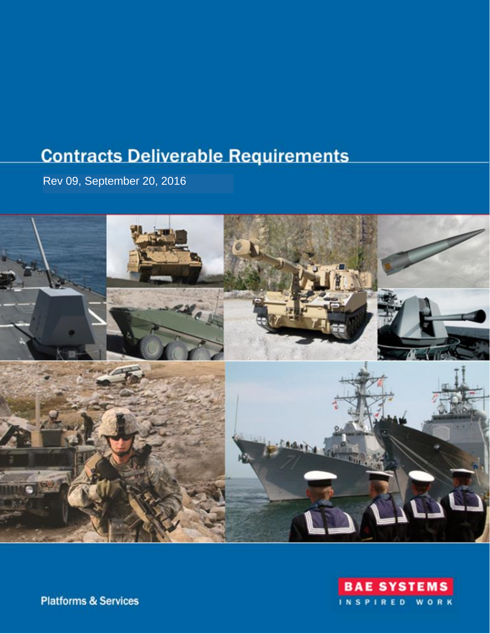# **Contracts Deliverable Requirements**

Rev 09, September 20, 2016





**Platforms & Services**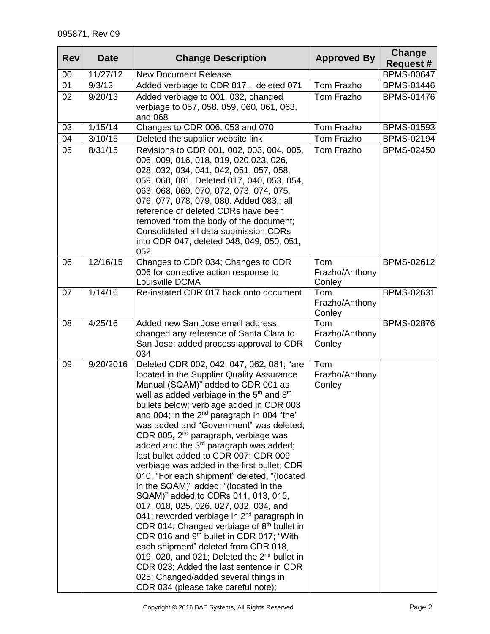| <b>Rev</b> | <b>Date</b> | <b>Change Description</b>                                                                                                                                                                                                                                                                                                                                                                                                                                                                                                                                                                                                                                                                                                                                                                                                                                                                                                                                                                                                                                                                                    | <b>Approved By</b>              | Change            |
|------------|-------------|--------------------------------------------------------------------------------------------------------------------------------------------------------------------------------------------------------------------------------------------------------------------------------------------------------------------------------------------------------------------------------------------------------------------------------------------------------------------------------------------------------------------------------------------------------------------------------------------------------------------------------------------------------------------------------------------------------------------------------------------------------------------------------------------------------------------------------------------------------------------------------------------------------------------------------------------------------------------------------------------------------------------------------------------------------------------------------------------------------------|---------------------------------|-------------------|
|            |             |                                                                                                                                                                                                                                                                                                                                                                                                                                                                                                                                                                                                                                                                                                                                                                                                                                                                                                                                                                                                                                                                                                              |                                 | <b>Request #</b>  |
| 00         | 11/27/12    | <b>New Document Release</b>                                                                                                                                                                                                                                                                                                                                                                                                                                                                                                                                                                                                                                                                                                                                                                                                                                                                                                                                                                                                                                                                                  |                                 | <b>BPMS-00647</b> |
| 01         | 9/3/13      | Tom Frazho<br>Added verbiage to CDR 017, deleted 071                                                                                                                                                                                                                                                                                                                                                                                                                                                                                                                                                                                                                                                                                                                                                                                                                                                                                                                                                                                                                                                         |                                 | <b>BPMS-01446</b> |
| 02         | 9/20/13     | Added verbiage to 001, 032, changed<br>verbiage to 057, 058, 059, 060, 061, 063,<br>and 068                                                                                                                                                                                                                                                                                                                                                                                                                                                                                                                                                                                                                                                                                                                                                                                                                                                                                                                                                                                                                  | Tom Frazho                      | <b>BPMS-01476</b> |
| 03         | 1/15/14     | Changes to CDR 006, 053 and 070                                                                                                                                                                                                                                                                                                                                                                                                                                                                                                                                                                                                                                                                                                                                                                                                                                                                                                                                                                                                                                                                              | Tom Frazho                      | <b>BPMS-01593</b> |
| 04         | 3/10/15     | Deleted the supplier website link                                                                                                                                                                                                                                                                                                                                                                                                                                                                                                                                                                                                                                                                                                                                                                                                                                                                                                                                                                                                                                                                            | Tom Frazho                      | <b>BPMS-02194</b> |
| 05         | 8/31/15     | Revisions to CDR 001, 002, 003, 004, 005,<br>006, 009, 016, 018, 019, 020,023, 026,<br>028, 032, 034, 041, 042, 051, 057, 058,<br>059, 060, 081. Deleted 017, 040, 053, 054,<br>063, 068, 069, 070, 072, 073, 074, 075,<br>076, 077, 078, 079, 080. Added 083.; all<br>reference of deleted CDRs have been<br>removed from the body of the document;<br>Consolidated all data submission CDRs<br>into CDR 047; deleted 048, 049, 050, 051,<br>052                                                                                                                                                                                                                                                                                                                                                                                                                                                                                                                                                                                                                                                            | Tom Frazho                      | <b>BPMS-02450</b> |
| 06         | 12/16/15    | Changes to CDR 034; Changes to CDR<br>006 for corrective action response to<br>Louisville DCMA                                                                                                                                                                                                                                                                                                                                                                                                                                                                                                                                                                                                                                                                                                                                                                                                                                                                                                                                                                                                               | Tom<br>Frazho/Anthony<br>Conley | <b>BPMS-02612</b> |
| 07         | 1/14/16     | Re-instated CDR 017 back onto document                                                                                                                                                                                                                                                                                                                                                                                                                                                                                                                                                                                                                                                                                                                                                                                                                                                                                                                                                                                                                                                                       | Tom<br>Frazho/Anthony<br>Conley | BPMS-02631        |
| 08         | 4/25/16     | Added new San Jose email address,<br>changed any reference of Santa Clara to<br>San Jose; added process approval to CDR<br>034                                                                                                                                                                                                                                                                                                                                                                                                                                                                                                                                                                                                                                                                                                                                                                                                                                                                                                                                                                               | Tom<br>Frazho/Anthony<br>Conley | <b>BPMS-02876</b> |
| 09         | 9/20/2016   | Deleted CDR 002, 042, 047, 062, 081; "are<br>located in the Supplier Quality Assurance<br>Manual (SQAM)" added to CDR 001 as<br>well as added verbiage in the 5 <sup>th</sup> and 8 <sup>th</sup><br>bullets below; verbiage added in CDR 003<br>and 004; in the $2^{nd}$ paragraph in 004 "the"<br>was added and "Government" was deleted;<br>CDR 005, 2 <sup>nd</sup> paragraph, verbiage was<br>added and the 3 <sup>rd</sup> paragraph was added;<br>last bullet added to CDR 007; CDR 009<br>verbiage was added in the first bullet; CDR<br>010, "For each shipment" deleted, "(located<br>in the SQAM)" added; "(located in the<br>SQAM)" added to CDRs 011, 013, 015,<br>017, 018, 025, 026, 027, 032, 034, and<br>041; reworded verbiage in $2nd$ paragraph in<br>CDR 014; Changed verbiage of $8th$ bullet in<br>CDR 016 and 9 <sup>th</sup> bullet in CDR 017; "With<br>each shipment" deleted from CDR 018,<br>019, 020, and 021; Deleted the 2 <sup>nd</sup> bullet in<br>CDR 023; Added the last sentence in CDR<br>025; Changed/added several things in<br>CDR 034 (please take careful note); | Tom<br>Frazho/Anthony<br>Conley |                   |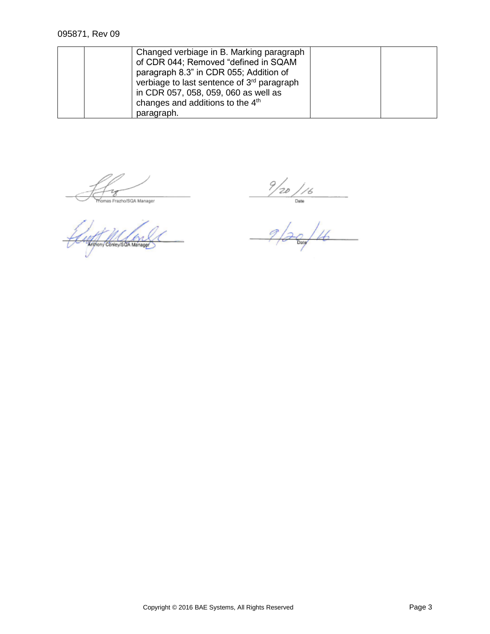| Changed verbiage in B. Marking paragraph<br>of CDR 044; Removed "defined in SQAM<br>paragraph 8.3" in CDR 055; Addition of<br>verbiage to last sentence of 3 <sup>rd</sup> paragraph<br>in CDR 057, 058, 059, 060 as well as |  |
|------------------------------------------------------------------------------------------------------------------------------------------------------------------------------------------------------------------------------|--|
| changes and additions to the 4 <sup>th</sup>                                                                                                                                                                                 |  |
| paragraph.                                                                                                                                                                                                                   |  |

**Tomas Frazho/SQA Manager** 

Arthony Contey SOA Manager

 $\frac{9}{20}/16$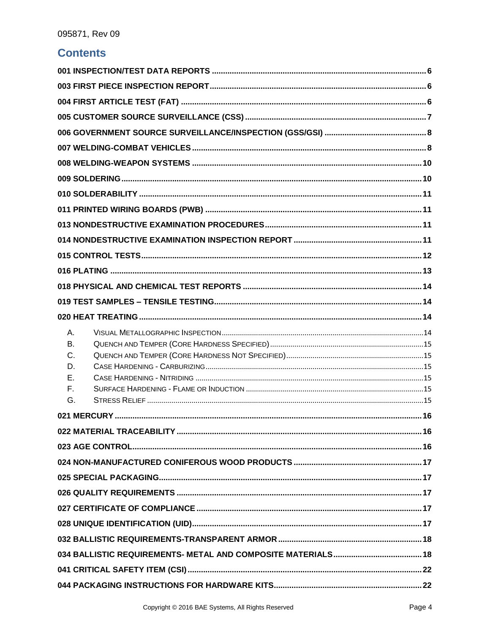### **Contents**

| А.        |  |  |  |  |
|-----------|--|--|--|--|
| <b>B.</b> |  |  |  |  |
| C.        |  |  |  |  |
| D.        |  |  |  |  |
| Е.        |  |  |  |  |
| F.        |  |  |  |  |
| G.        |  |  |  |  |
|           |  |  |  |  |
|           |  |  |  |  |
|           |  |  |  |  |
|           |  |  |  |  |
|           |  |  |  |  |
|           |  |  |  |  |
|           |  |  |  |  |
|           |  |  |  |  |
|           |  |  |  |  |
|           |  |  |  |  |
|           |  |  |  |  |
|           |  |  |  |  |
|           |  |  |  |  |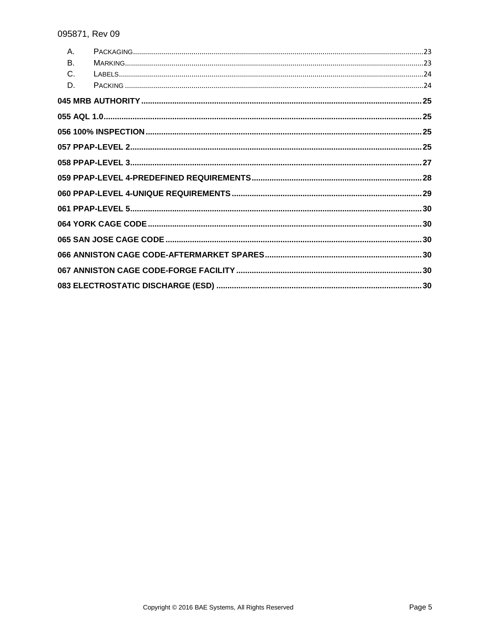| $A_{1}$ |  |
|---------|--|
| Β.      |  |
| C.      |  |
| D.      |  |
|         |  |
|         |  |
|         |  |
|         |  |
|         |  |
|         |  |
|         |  |
|         |  |
|         |  |
|         |  |
|         |  |
|         |  |
|         |  |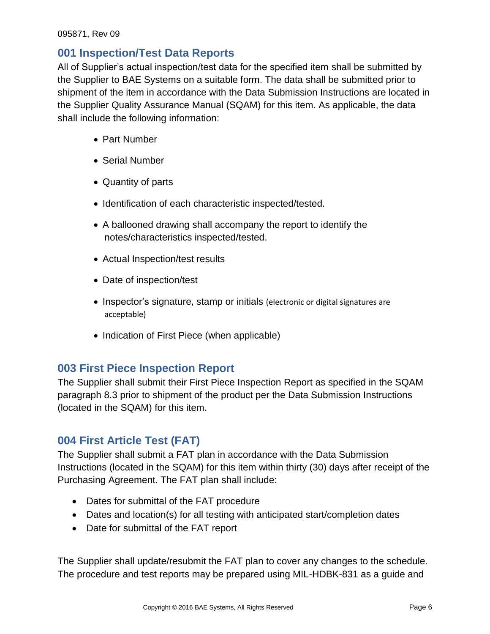#### <span id="page-5-0"></span>**001 Inspection/Test Data Reports**

All of Supplier's actual inspection/test data for the specified item shall be submitted by the Supplier to BAE Systems on a suitable form. The data shall be submitted prior to shipment of the item in accordance with the Data Submission Instructions are located in the Supplier Quality Assurance Manual (SQAM) for this item. As applicable, the data shall include the following information:

- Part Number
- Serial Number
- Quantity of parts
- Identification of each characteristic inspected/tested.
- A ballooned drawing shall accompany the report to identify the notes/characteristics inspected/tested.
- Actual Inspection/test results
- Date of inspection/test
- Inspector's signature, stamp or initials (electronic or digital signatures are acceptable)
- Indication of First Piece (when applicable)

#### <span id="page-5-1"></span>**003 First Piece Inspection Report**

The Supplier shall submit their First Piece Inspection Report as specified in the SQAM paragraph 8.3 prior to shipment of the product per the Data Submission Instructions (located in the SQAM) for this item.

### <span id="page-5-2"></span>**004 First Article Test (FAT)**

The Supplier shall submit a FAT plan in accordance with the Data Submission Instructions (located in the SQAM) for this item within thirty (30) days after receipt of the Purchasing Agreement. The FAT plan shall include:

- Dates for submittal of the FAT procedure
- Dates and location(s) for all testing with anticipated start/completion dates
- Date for submittal of the FAT report

The Supplier shall update/resubmit the FAT plan to cover any changes to the schedule. The procedure and test reports may be prepared using MIL-HDBK-831 as a guide and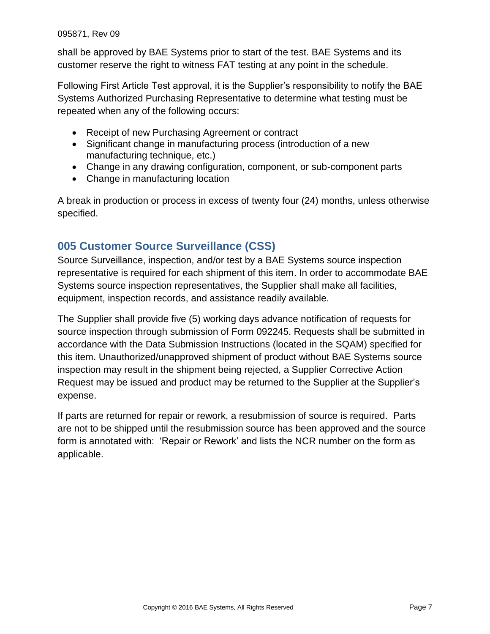shall be approved by BAE Systems prior to start of the test. BAE Systems and its customer reserve the right to witness FAT testing at any point in the schedule.

Following First Article Test approval, it is the Supplier's responsibility to notify the BAE Systems Authorized Purchasing Representative to determine what testing must be repeated when any of the following occurs:

- Receipt of new Purchasing Agreement or contract
- Significant change in manufacturing process (introduction of a new manufacturing technique, etc.)
- Change in any drawing configuration, component, or sub-component parts
- Change in manufacturing location

A break in production or process in excess of twenty four (24) months, unless otherwise specified.

### <span id="page-6-0"></span>**005 Customer Source Surveillance (CSS)**

Source Surveillance, inspection, and/or test by a BAE Systems source inspection representative is required for each shipment of this item. In order to accommodate BAE Systems source inspection representatives, the Supplier shall make all facilities, equipment, inspection records, and assistance readily available.

The Supplier shall provide five (5) working days advance notification of requests for source inspection through submission of Form 092245. Requests shall be submitted in accordance with the Data Submission Instructions (located in the SQAM) specified for this item. Unauthorized/unapproved shipment of product without BAE Systems source inspection may result in the shipment being rejected, a Supplier Corrective Action Request may be issued and product may be returned to the Supplier at the Supplier's expense.

If parts are returned for repair or rework, a resubmission of source is required. Parts are not to be shipped until the resubmission source has been approved and the source form is annotated with: 'Repair or Rework' and lists the NCR number on the form as applicable.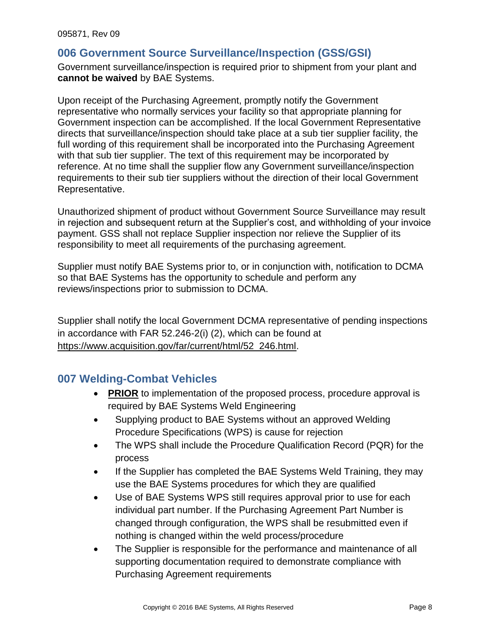#### <span id="page-7-0"></span>**006 Government Source Surveillance/Inspection (GSS/GSI)**

Government surveillance/inspection is required prior to shipment from your plant and **cannot be waived** by BAE Systems.

Upon receipt of the Purchasing Agreement, promptly notify the Government representative who normally services your facility so that appropriate planning for Government inspection can be accomplished. If the local Government Representative directs that surveillance/inspection should take place at a sub tier supplier facility, the full wording of this requirement shall be incorporated into the Purchasing Agreement with that sub tier supplier. The text of this requirement may be incorporated by reference. At no time shall the supplier flow any Government surveillance/inspection requirements to their sub tier suppliers without the direction of their local Government Representative.

Unauthorized shipment of product without Government Source Surveillance may result in rejection and subsequent return at the Supplier's cost, and withholding of your invoice payment. GSS shall not replace Supplier inspection nor relieve the Supplier of its responsibility to meet all requirements of the purchasing agreement.

Supplier must notify BAE Systems prior to, or in conjunction with, notification to DCMA so that BAE Systems has the opportunity to schedule and perform any reviews/inspections prior to submission to DCMA.

Supplier shall notify the local Government DCMA representative of pending inspections in accordance with FAR 52.246-2(i) (2), which can be found at https://www.acquisition.gov/far/current/html/52\_246.html.

#### <span id="page-7-1"></span>**007 Welding-Combat Vehicles**

- **PRIOR** to implementation of the proposed process, procedure approval is required by BAE Systems Weld Engineering
- Supplying product to BAE Systems without an approved Welding Procedure Specifications (WPS) is cause for rejection
- The WPS shall include the Procedure Qualification Record (PQR) for the process
- If the Supplier has completed the BAE Systems Weld Training, they may use the BAE Systems procedures for which they are qualified
- Use of BAE Systems WPS still requires approval prior to use for each individual part number. If the Purchasing Agreement Part Number is changed through configuration, the WPS shall be resubmitted even if nothing is changed within the weld process/procedure
- The Supplier is responsible for the performance and maintenance of all supporting documentation required to demonstrate compliance with Purchasing Agreement requirements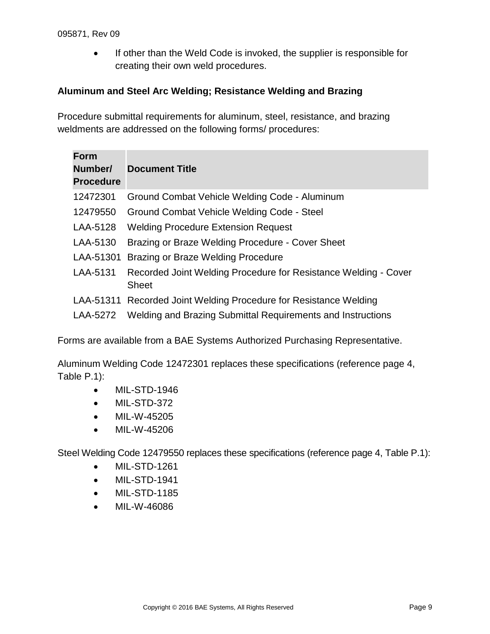If other than the Weld Code is invoked, the supplier is responsible for creating their own weld procedures.

#### **Aluminum and Steel Arc Welding; Resistance Welding and Brazing**

Procedure submittal requirements for aluminum, steel, resistance, and brazing weldments are addressed on the following forms/ procedures:

| <b>Form</b><br>Number/<br><b>Procedure</b> | <b>Document Title</b>                                                           |
|--------------------------------------------|---------------------------------------------------------------------------------|
| 12472301                                   | Ground Combat Vehicle Welding Code - Aluminum                                   |
| 12479550                                   | Ground Combat Vehicle Welding Code - Steel                                      |
| LAA-5128                                   | <b>Welding Procedure Extension Request</b>                                      |
| LAA-5130                                   | Brazing or Braze Welding Procedure - Cover Sheet                                |
|                                            | LAA-51301 Brazing or Braze Welding Procedure                                    |
| LAA-5131                                   | Recorded Joint Welding Procedure for Resistance Welding - Cover<br><b>Sheet</b> |
|                                            | LAA-51311 Recorded Joint Welding Procedure for Resistance Welding               |
| LAA-5272                                   | Welding and Brazing Submittal Requirements and Instructions                     |

Forms are available from a BAE Systems Authorized Purchasing Representative.

Aluminum Welding Code 12472301 replaces these specifications (reference page 4, Table P.1):

- MIL-STD-1946
- MIL-STD-372
- MIL-W-45205
- MIL-W-45206

Steel Welding Code 12479550 replaces these specifications (reference page 4, Table P.1):

- MIL-STD-1261
- MIL-STD-1941
- MIL-STD-1185
- <span id="page-8-0"></span>MIL-W-46086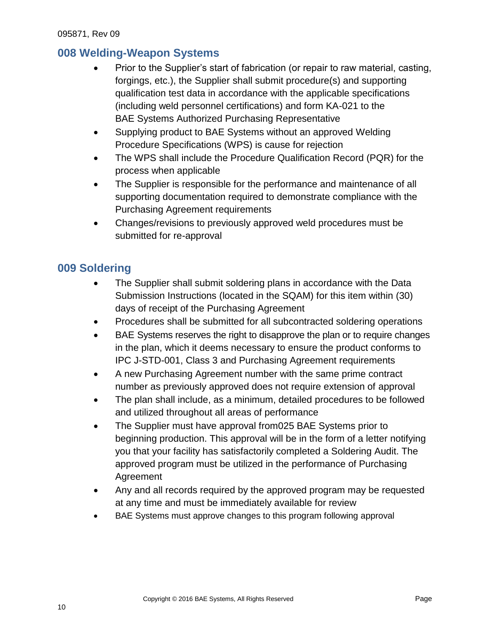### **008 Welding-Weapon Systems**

- Prior to the Supplier's start of fabrication (or repair to raw material, casting, forgings, etc.), the Supplier shall submit procedure(s) and supporting qualification test data in accordance with the applicable specifications (including weld personnel certifications) and form KA-021 to the BAE Systems Authorized Purchasing Representative
- Supplying product to BAE Systems without an approved Welding Procedure Specifications (WPS) is cause for rejection
- The WPS shall include the Procedure Qualification Record (PQR) for the process when applicable
- The Supplier is responsible for the performance and maintenance of all supporting documentation required to demonstrate compliance with the Purchasing Agreement requirements
- Changes/revisions to previously approved weld procedures must be submitted for re-approval

### <span id="page-9-0"></span>**009 Soldering**

- The Supplier shall submit soldering plans in accordance with the Data Submission Instructions (located in the SQAM) for this item within (30) days of receipt of the Purchasing Agreement
- Procedures shall be submitted for all subcontracted soldering operations
- BAE Systems reserves the right to disapprove the plan or to require changes in the plan, which it deems necessary to ensure the product conforms to IPC J-STD-001, Class 3 and Purchasing Agreement requirements
- A new Purchasing Agreement number with the same prime contract number as previously approved does not require extension of approval
- The plan shall include, as a minimum, detailed procedures to be followed and utilized throughout all areas of performance
- The Supplier must have approval from 025 BAE Systems prior to beginning production. This approval will be in the form of a letter notifying you that your facility has satisfactorily completed a Soldering Audit. The approved program must be utilized in the performance of Purchasing Agreement
- Any and all records required by the approved program may be requested at any time and must be immediately available for review
- <span id="page-9-1"></span>BAE Systems must approve changes to this program following approval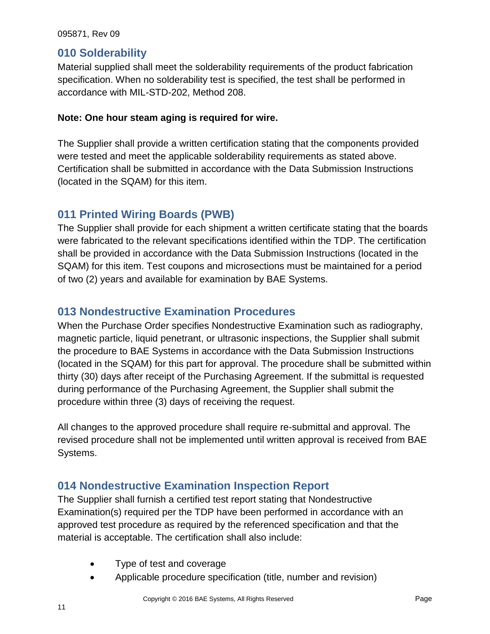#### **010 Solderability**

Material supplied shall meet the solderability requirements of the product fabrication specification. When no solderability test is specified, the test shall be performed in accordance with MIL-STD-202, Method 208.

#### **Note: One hour steam aging is required for wire.**

The Supplier shall provide a written certification stating that the components provided were tested and meet the applicable solderability requirements as stated above. Certification shall be submitted in accordance with the Data Submission Instructions (located in the SQAM) for this item.

### <span id="page-10-0"></span>**011 Printed Wiring Boards (PWB)**

The Supplier shall provide for each shipment a written certificate stating that the boards were fabricated to the relevant specifications identified within the TDP. The certification shall be provided in accordance with the Data Submission Instructions (located in the SQAM) for this item. Test coupons and microsections must be maintained for a period of two (2) years and available for examination by BAE Systems.

### <span id="page-10-1"></span>**013 Nondestructive Examination Procedures**

When the Purchase Order specifies Nondestructive Examination such as radiography, magnetic particle, liquid penetrant, or ultrasonic inspections, the Supplier shall submit the procedure to BAE Systems in accordance with the Data Submission Instructions (located in the SQAM) for this part for approval. The procedure shall be submitted within thirty (30) days after receipt of the Purchasing Agreement. If the submittal is requested during performance of the Purchasing Agreement, the Supplier shall submit the procedure within three (3) days of receiving the request.

All changes to the approved procedure shall require re-submittal and approval. The revised procedure shall not be implemented until written approval is received from BAE Systems.

### <span id="page-10-2"></span>**014 Nondestructive Examination Inspection Report**

The Supplier shall furnish a certified test report stating that Nondestructive Examination(s) required per the TDP have been performed in accordance with an approved test procedure as required by the referenced specification and that the material is acceptable. The certification shall also include:

- Type of test and coverage
- Applicable procedure specification (title, number and revision)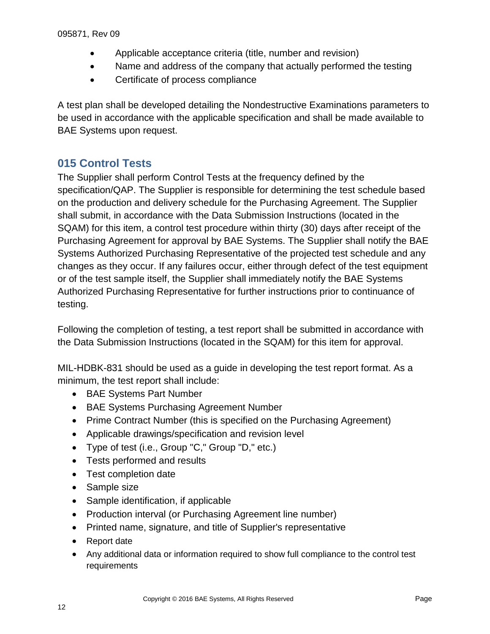- Applicable acceptance criteria (title, number and revision)
- Name and address of the company that actually performed the testing
- Certificate of process compliance

A test plan shall be developed detailing the Nondestructive Examinations parameters to be used in accordance with the applicable specification and shall be made available to BAE Systems upon request.

### <span id="page-11-0"></span>**015 Control Tests**

The Supplier shall perform Control Tests at the frequency defined by the specification/QAP. The Supplier is responsible for determining the test schedule based on the production and delivery schedule for the Purchasing Agreement. The Supplier shall submit, in accordance with the Data Submission Instructions (located in the SQAM) for this item, a control test procedure within thirty (30) days after receipt of the Purchasing Agreement for approval by BAE Systems. The Supplier shall notify the BAE Systems Authorized Purchasing Representative of the projected test schedule and any changes as they occur. If any failures occur, either through defect of the test equipment or of the test sample itself, the Supplier shall immediately notify the BAE Systems Authorized Purchasing Representative for further instructions prior to continuance of testing.

Following the completion of testing, a test report shall be submitted in accordance with the Data Submission Instructions (located in the SQAM) for this item for approval.

MIL-HDBK-831 should be used as a guide in developing the test report format. As a minimum, the test report shall include:

- BAE Systems Part Number
- BAE Systems Purchasing Agreement Number
- Prime Contract Number (this is specified on the Purchasing Agreement)
- Applicable drawings/specification and revision level
- Type of test (i.e., Group "C," Group "D," etc.)
- Tests performed and results
- Test completion date
- Sample size
- Sample identification, if applicable
- Production interval (or Purchasing Agreement line number)
- Printed name, signature, and title of Supplier's representative
- Report date
- Any additional data or information required to show full compliance to the control test requirements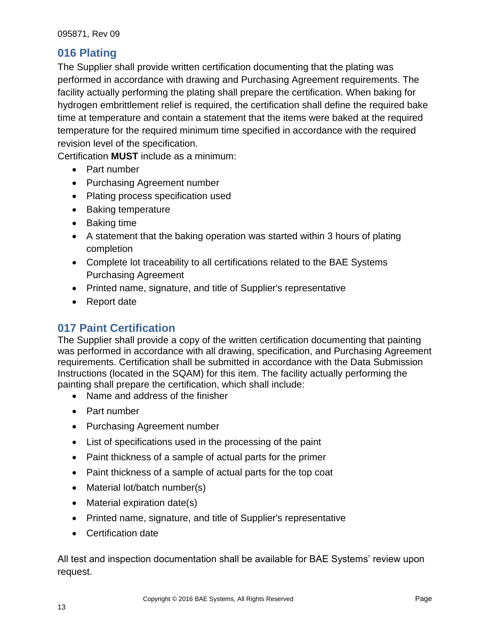### <span id="page-12-0"></span>**016 Plating**

The Supplier shall provide written certification documenting that the plating was performed in accordance with drawing and Purchasing Agreement requirements. The facility actually performing the plating shall prepare the certification. When baking for hydrogen embrittlement relief is required, the certification shall define the required bake time at temperature and contain a statement that the items were baked at the required temperature for the required minimum time specified in accordance with the required revision level of the specification.

Certification **MUST** include as a minimum:

- Part number
- Purchasing Agreement number
- Plating process specification used
- Baking temperature
- Baking time
- A statement that the baking operation was started within 3 hours of plating completion
- Complete lot traceability to all certifications related to the BAE Systems Purchasing Agreement
- Printed name, signature, and title of Supplier's representative
- Report date

### **017 Paint Certification**

The Supplier shall provide a copy of the written certification documenting that painting was performed in accordance with all drawing, specification, and Purchasing Agreement requirements. Certification shall be submitted in accordance with the Data Submission Instructions (located in the SQAM) for this item. The facility actually performing the painting shall prepare the certification, which shall include:

- Name and address of the finisher
- Part number
- Purchasing Agreement number
- List of specifications used in the processing of the paint
- Paint thickness of a sample of actual parts for the primer
- Paint thickness of a sample of actual parts for the top coat
- Material lot/batch number(s)
- Material expiration date(s)
- Printed name, signature, and title of Supplier's representative
- Certification date

All test and inspection documentation shall be available for BAE Systems' review upon request.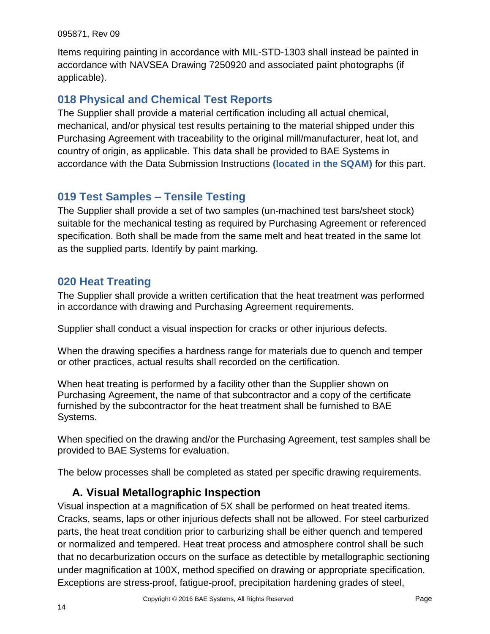Items requiring painting in accordance with MIL-STD-1303 shall instead be painted in accordance with NAVSEA Drawing 7250920 and associated paint photographs (if applicable).

### <span id="page-13-0"></span>**018 Physical and Chemical Test Reports**

The Supplier shall provide a material certification including all actual chemical, mechanical, and/or physical test results pertaining to the material shipped under this Purchasing Agreement with traceability to the original mill/manufacturer, heat lot, and country of origin, as applicable. This data shall be provided to BAE Systems in accordance with the Data Submission Instructions **(located in the SQAM)** for this part.

### <span id="page-13-1"></span>**019 Test Samples – Tensile Testing**

The Supplier shall provide a set of two samples (un-machined test bars/sheet stock) suitable for the mechanical testing as required by Purchasing Agreement or referenced specification. Both shall be made from the same melt and heat treated in the same lot as the supplied parts. Identify by paint marking.

### <span id="page-13-2"></span>**020 Heat Treating**

The Supplier shall provide a written certification that the heat treatment was performed in accordance with drawing and Purchasing Agreement requirements.

Supplier shall conduct a visual inspection for cracks or other injurious defects.

When the drawing specifies a hardness range for materials due to quench and temper or other practices, actual results shall recorded on the certification.

When heat treating is performed by a facility other than the Supplier shown on Purchasing Agreement, the name of that subcontractor and a copy of the certificate furnished by the subcontractor for the heat treatment shall be furnished to BAE Systems.

When specified on the drawing and/or the Purchasing Agreement, test samples shall be provided to BAE Systems for evaluation.

<span id="page-13-3"></span>The below processes shall be completed as stated per specific drawing requirements.

### **A. Visual Metallographic Inspection**

Visual inspection at a magnification of 5X shall be performed on heat treated items. Cracks, seams, laps or other injurious defects shall not be allowed. For steel carburized parts, the heat treat condition prior to carburizing shall be either quench and tempered or normalized and tempered. Heat treat process and atmosphere control shall be such that no decarburization occurs on the surface as detectible by metallographic sectioning under magnification at 100X, method specified on drawing or appropriate specification. Exceptions are stress-proof, fatigue-proof, precipitation hardening grades of steel,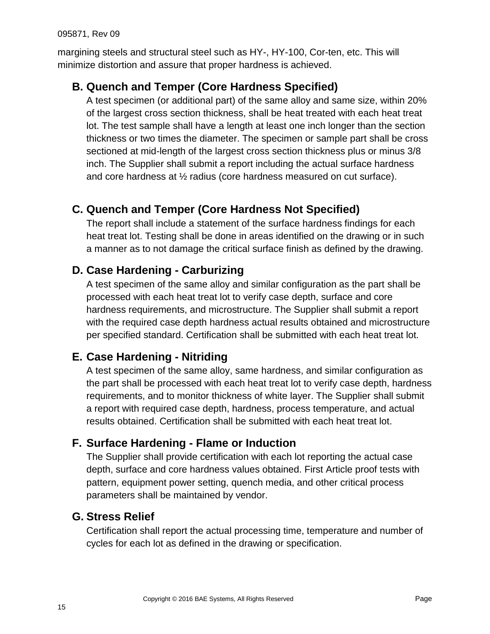margining steels and structural steel such as HY-, HY-100, Cor-ten, etc. This will minimize distortion and assure that proper hardness is achieved.

## <span id="page-14-0"></span>**B. Quench and Temper (Core Hardness Specified)**

A test specimen (or additional part) of the same alloy and same size, within 20% of the largest cross section thickness, shall be heat treated with each heat treat lot. The test sample shall have a length at least one inch longer than the section thickness or two times the diameter. The specimen or sample part shall be cross sectioned at mid-length of the largest cross section thickness plus or minus 3/8 inch. The Supplier shall submit a report including the actual surface hardness and core hardness at ½ radius (core hardness measured on cut surface).

# <span id="page-14-1"></span>**C. Quench and Temper (Core Hardness Not Specified)**

The report shall include a statement of the surface hardness findings for each heat treat lot. Testing shall be done in areas identified on the drawing or in such a manner as to not damage the critical surface finish as defined by the drawing.

# <span id="page-14-2"></span>**D. Case Hardening - Carburizing**

A test specimen of the same alloy and similar configuration as the part shall be processed with each heat treat lot to verify case depth, surface and core hardness requirements, and microstructure. The Supplier shall submit a report with the required case depth hardness actual results obtained and microstructure per specified standard. Certification shall be submitted with each heat treat lot.

### <span id="page-14-3"></span>**E. Case Hardening - Nitriding**

A test specimen of the same alloy, same hardness, and similar configuration as the part shall be processed with each heat treat lot to verify case depth, hardness requirements, and to monitor thickness of white layer. The Supplier shall submit a report with required case depth, hardness, process temperature, and actual results obtained. Certification shall be submitted with each heat treat lot.

### <span id="page-14-4"></span>**F. Surface Hardening - Flame or Induction**

The Supplier shall provide certification with each lot reporting the actual case depth, surface and core hardness values obtained. First Article proof tests with pattern, equipment power setting, quench media, and other critical process parameters shall be maintained by vendor.

### <span id="page-14-5"></span>**G. Stress Relief**

Certification shall report the actual processing time, temperature and number of cycles for each lot as defined in the drawing or specification.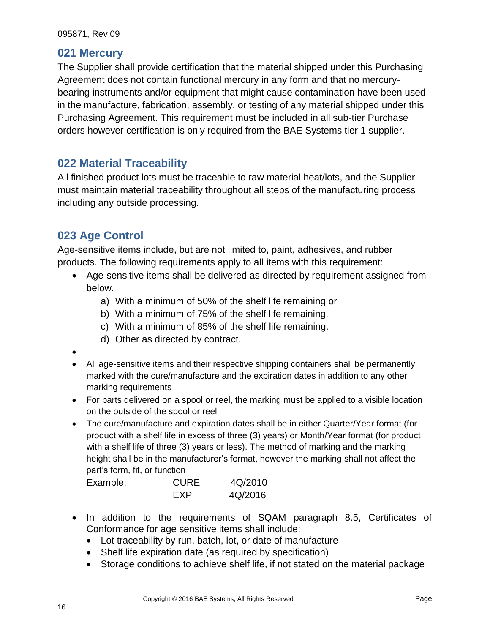#### <span id="page-15-0"></span>**021 Mercury**

The Supplier shall provide certification that the material shipped under this Purchasing Agreement does not contain functional mercury in any form and that no mercurybearing instruments and/or equipment that might cause contamination have been used in the manufacture, fabrication, assembly, or testing of any material shipped under this Purchasing Agreement. This requirement must be included in all sub-tier Purchase orders however certification is only required from the BAE Systems tier 1 supplier.

### <span id="page-15-1"></span>**022 Material Traceability**

All finished product lots must be traceable to raw material heat/lots, and the Supplier must maintain material traceability throughout all steps of the manufacturing process including any outside processing.

### <span id="page-15-2"></span>**023 Age Control**

Age-sensitive items include, but are not limited to, paint, adhesives, and rubber products. The following requirements apply to all items with this requirement:

- Age-sensitive items shall be delivered as directed by requirement assigned from below.
	- a) With a minimum of 50% of the shelf life remaining or
	- b) With a minimum of 75% of the shelf life remaining.
	- c) With a minimum of 85% of the shelf life remaining.
	- d) Other as directed by contract.
- $\bullet$
- All age-sensitive items and their respective shipping containers shall be permanently marked with the cure/manufacture and the expiration dates in addition to any other marking requirements
- For parts delivered on a spool or reel, the marking must be applied to a visible location on the outside of the spool or reel
- The cure/manufacture and expiration dates shall be in either Quarter/Year format (for product with a shelf life in excess of three (3) years) or Month/Year format (for product with a shelf life of three (3) years or less). The method of marking and the marking height shall be in the manufacturer's format, however the marking shall not affect the part's form, fit, or function

| Example: | <b>CURE</b> | 4Q/2010 |
|----------|-------------|---------|
|          | FXP         | 4Q/2016 |

- In addition to the requirements of SQAM paragraph 8.5, Certificates of Conformance for age sensitive items shall include:
	- Lot traceability by run, batch, lot, or date of manufacture
	- Shelf life expiration date (as required by specification)
	- Storage conditions to achieve shelf life, if not stated on the material package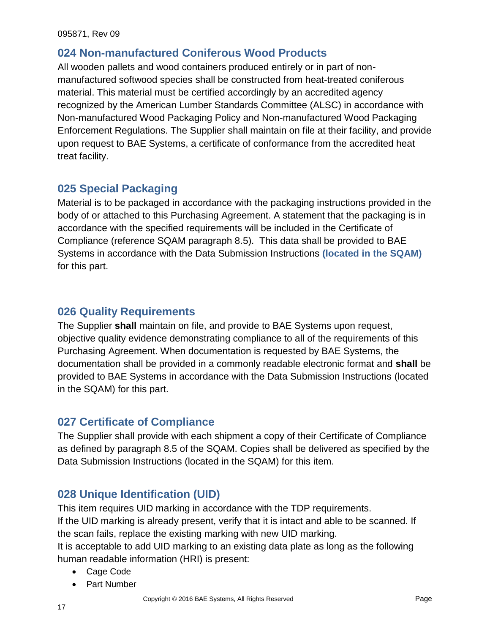### <span id="page-16-0"></span>**024 Non-manufactured Coniferous Wood Products**

All wooden pallets and wood containers produced entirely or in part of nonmanufactured softwood species shall be constructed from heat-treated coniferous material. This material must be certified accordingly by an accredited agency recognized by the American Lumber Standards Committee (ALSC) in accordance with Non-manufactured Wood Packaging Policy and Non-manufactured Wood Packaging Enforcement Regulations. The Supplier shall maintain on file at their facility, and provide upon request to BAE Systems, a certificate of conformance from the accredited heat treat facility.

### <span id="page-16-1"></span>**025 Special Packaging**

Material is to be packaged in accordance with the packaging instructions provided in the body of or attached to this Purchasing Agreement. A statement that the packaging is in accordance with the specified requirements will be included in the Certificate of Compliance (reference SQAM paragraph 8.5).This data shall be provided to BAE Systems in accordance with the Data Submission Instructions **(located in the SQAM)**  for this part.

#### <span id="page-16-2"></span>**026 Quality Requirements**

The Supplier **shall** maintain on file, and provide to BAE Systems upon request, objective quality evidence demonstrating compliance to all of the requirements of this Purchasing Agreement. When documentation is requested by BAE Systems, the documentation shall be provided in a commonly readable electronic format and **shall** be provided to BAE Systems in accordance with the Data Submission Instructions (located in the SQAM) for this part.

#### <span id="page-16-3"></span>**027 Certificate of Compliance**

The Supplier shall provide with each shipment a copy of their Certificate of Compliance as defined by paragraph 8.5 of the SQAM. Copies shall be delivered as specified by the Data Submission Instructions (located in the SQAM) for this item.

### <span id="page-16-4"></span>**028 Unique Identification (UID)**

This item requires UID marking in accordance with the TDP requirements. If the UID marking is already present, verify that it is intact and able to be scanned. If the scan fails, replace the existing marking with new UID marking.

It is acceptable to add UID marking to an existing data plate as long as the following human readable information (HRI) is present:

- Cage Code
- Part Number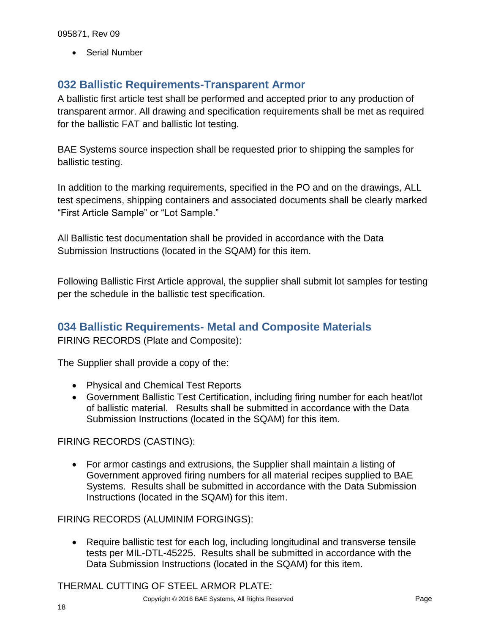• Serial Number

### <span id="page-17-0"></span>**032 Ballistic Requirements-Transparent Armor**

A ballistic first article test shall be performed and accepted prior to any production of transparent armor. All drawing and specification requirements shall be met as required for the ballistic FAT and ballistic lot testing.

BAE Systems source inspection shall be requested prior to shipping the samples for ballistic testing.

In addition to the marking requirements, specified in the PO and on the drawings, ALL test specimens, shipping containers and associated documents shall be clearly marked "First Article Sample" or "Lot Sample."

All Ballistic test documentation shall be provided in accordance with the Data Submission Instructions (located in the SQAM) for this item.

Following Ballistic First Article approval, the supplier shall submit lot samples for testing per the schedule in the ballistic test specification.

### <span id="page-17-1"></span>**034 Ballistic Requirements- Metal and Composite Materials**

FIRING RECORDS (Plate and Composite):

The Supplier shall provide a copy of the:

- Physical and Chemical Test Reports
- Government Ballistic Test Certification, including firing number for each heat/lot of ballistic material. Results shall be submitted in accordance with the Data Submission Instructions (located in the SQAM) for this item.

FIRING RECORDS (CASTING):

 For armor castings and extrusions, the Supplier shall maintain a listing of Government approved firing numbers for all material recipes supplied to BAE Systems. Results shall be submitted in accordance with the Data Submission Instructions (located in the SQAM) for this item.

FIRING RECORDS (ALUMINIM FORGINGS):

 Require ballistic test for each log, including longitudinal and transverse tensile tests per MIL-DTL-45225. Results shall be submitted in accordance with the Data Submission Instructions (located in the SQAM) for this item.

THERMAL CUTTING OF STEEL ARMOR PLATE: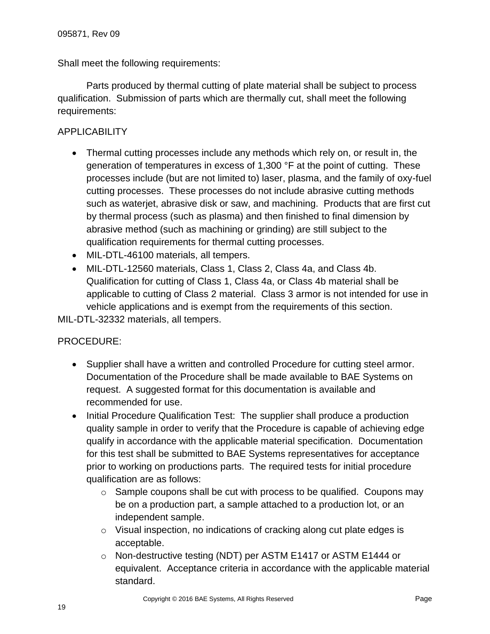Shall meet the following requirements:

Parts produced by thermal cutting of plate material shall be subject to process qualification. Submission of parts which are thermally cut, shall meet the following requirements:

#### **APPLICABILITY**

- Thermal cutting processes include any methods which rely on, or result in, the generation of temperatures in excess of 1,300 °F at the point of cutting. These processes include (but are not limited to) laser, plasma, and the family of oxy-fuel cutting processes. These processes do not include abrasive cutting methods such as waterjet, abrasive disk or saw, and machining. Products that are first cut by thermal process (such as plasma) and then finished to final dimension by abrasive method (such as machining or grinding) are still subject to the qualification requirements for thermal cutting processes.
- MIL-DTL-46100 materials, all tempers.
- MIL-DTL-12560 materials, Class 1, Class 2, Class 4a, and Class 4b. Qualification for cutting of Class 1, Class 4a, or Class 4b material shall be applicable to cutting of Class 2 material. Class 3 armor is not intended for use in vehicle applications and is exempt from the requirements of this section.

MIL-DTL-32332 materials, all tempers.

#### PROCEDURE:

- Supplier shall have a written and controlled Procedure for cutting steel armor. Documentation of the Procedure shall be made available to BAE Systems on request. A suggested format for this documentation is available and recommended for use.
- Initial Procedure Qualification Test: The supplier shall produce a production quality sample in order to verify that the Procedure is capable of achieving edge qualify in accordance with the applicable material specification. Documentation for this test shall be submitted to BAE Systems representatives for acceptance prior to working on productions parts. The required tests for initial procedure qualification are as follows:
	- $\circ$  Sample coupons shall be cut with process to be qualified. Coupons may be on a production part, a sample attached to a production lot, or an independent sample.
	- $\circ$  Visual inspection, no indications of cracking along cut plate edges is acceptable.
	- o Non-destructive testing (NDT) per ASTM E1417 or ASTM E1444 or equivalent. Acceptance criteria in accordance with the applicable material standard.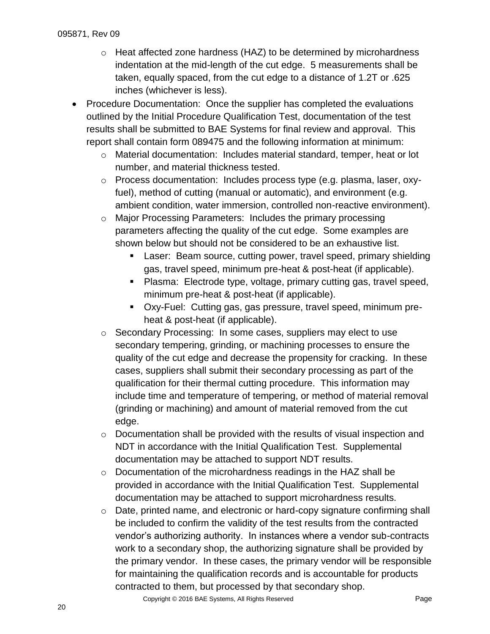- o Heat affected zone hardness (HAZ) to be determined by microhardness indentation at the mid-length of the cut edge. 5 measurements shall be taken, equally spaced, from the cut edge to a distance of 1.2T or .625 inches (whichever is less).
- Procedure Documentation: Once the supplier has completed the evaluations outlined by the Initial Procedure Qualification Test, documentation of the test results shall be submitted to BAE Systems for final review and approval. This report shall contain form 089475 and the following information at minimum:
	- o Material documentation: Includes material standard, temper, heat or lot number, and material thickness tested.
	- o Process documentation: Includes process type (e.g. plasma, laser, oxyfuel), method of cutting (manual or automatic), and environment (e.g. ambient condition, water immersion, controlled non-reactive environment).
	- o Major Processing Parameters: Includes the primary processing parameters affecting the quality of the cut edge. Some examples are shown below but should not be considered to be an exhaustive list.
		- Laser: Beam source, cutting power, travel speed, primary shielding gas, travel speed, minimum pre-heat & post-heat (if applicable).
		- Plasma: Electrode type, voltage, primary cutting gas, travel speed, minimum pre-heat & post-heat (if applicable).
		- Oxy-Fuel: Cutting gas, gas pressure, travel speed, minimum preheat & post-heat (if applicable).
	- o Secondary Processing: In some cases, suppliers may elect to use secondary tempering, grinding, or machining processes to ensure the quality of the cut edge and decrease the propensity for cracking. In these cases, suppliers shall submit their secondary processing as part of the qualification for their thermal cutting procedure. This information may include time and temperature of tempering, or method of material removal (grinding or machining) and amount of material removed from the cut edge.
	- o Documentation shall be provided with the results of visual inspection and NDT in accordance with the Initial Qualification Test. Supplemental documentation may be attached to support NDT results.
	- o Documentation of the microhardness readings in the HAZ shall be provided in accordance with the Initial Qualification Test. Supplemental documentation may be attached to support microhardness results.
	- o Date, printed name, and electronic or hard-copy signature confirming shall be included to confirm the validity of the test results from the contracted vendor's authorizing authority. In instances where a vendor sub-contracts work to a secondary shop, the authorizing signature shall be provided by the primary vendor. In these cases, the primary vendor will be responsible for maintaining the qualification records and is accountable for products contracted to them, but processed by that secondary shop.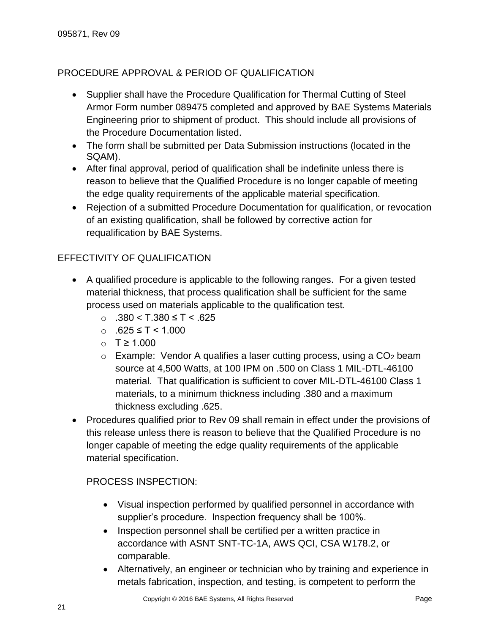#### PROCEDURE APPROVAL & PERIOD OF QUALIFICATION

- Supplier shall have the Procedure Qualification for Thermal Cutting of Steel Armor Form number 089475 completed and approved by BAE Systems Materials Engineering prior to shipment of product. This should include all provisions of the Procedure Documentation listed.
- The form shall be submitted per Data Submission instructions (located in the SQAM).
- After final approval, period of qualification shall be indefinite unless there is reason to believe that the Qualified Procedure is no longer capable of meeting the edge quality requirements of the applicable material specification.
- Rejection of a submitted Procedure Documentation for qualification, or revocation of an existing qualification, shall be followed by corrective action for requalification by BAE Systems.

#### EFFECTIVITY OF QUALIFICATION

- A qualified procedure is applicable to the following ranges. For a given tested material thickness, that process qualification shall be sufficient for the same process used on materials applicable to the qualification test.
	- o .380 < T.380 ≤ T < .625
	- o .625 ≤ T < 1.000
	- o T ≥ 1.000
	- $\circ$  Example: Vendor A qualifies a laser cutting process, using a CO<sub>2</sub> beam source at 4,500 Watts, at 100 IPM on .500 on Class 1 MIL-DTL-46100 material. That qualification is sufficient to cover MIL-DTL-46100 Class 1 materials, to a minimum thickness including .380 and a maximum thickness excluding .625.
- Procedures qualified prior to Rev 09 shall remain in effect under the provisions of this release unless there is reason to believe that the Qualified Procedure is no longer capable of meeting the edge quality requirements of the applicable material specification.

#### PROCESS INSPECTION:

- Visual inspection performed by qualified personnel in accordance with supplier's procedure. Inspection frequency shall be 100%.
- Inspection personnel shall be certified per a written practice in accordance with ASNT SNT-TC-1A, AWS QCI, CSA W178.2, or comparable.
- Alternatively, an engineer or technician who by training and experience in metals fabrication, inspection, and testing, is competent to perform the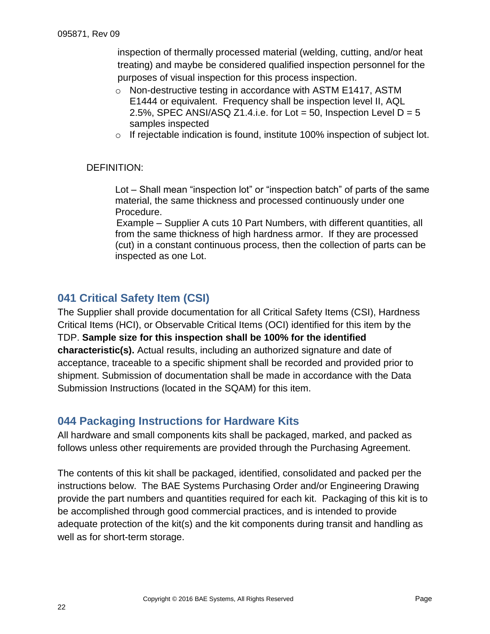inspection of thermally processed material (welding, cutting, and/or heat treating) and maybe be considered qualified inspection personnel for the purposes of visual inspection for this process inspection.

- o Non-destructive testing in accordance with ASTM E1417, ASTM E1444 or equivalent. Frequency shall be inspection level II, AQL 2.5%, SPEC ANSI/ASQ Z1.4.i.e. for Lot = 50, Inspection Level  $D = 5$ samples inspected
- $\circ$  If rejectable indication is found, institute 100% inspection of subject lot.

#### DEFINITION:

Lot – Shall mean "inspection lot" or "inspection batch" of parts of the same material, the same thickness and processed continuously under one Procedure.

Example – Supplier A cuts 10 Part Numbers, with different quantities, all from the same thickness of high hardness armor. If they are processed (cut) in a constant continuous process, then the collection of parts can be inspected as one Lot.

#### <span id="page-21-0"></span>**041 Critical Safety Item (CSI)**

The Supplier shall provide documentation for all Critical Safety Items (CSI), Hardness Critical Items (HCI), or Observable Critical Items (OCI) identified for this item by the TDP. **Sample size for this inspection shall be 100% for the identified characteristic(s).** Actual results, including an authorized signature and date of acceptance, traceable to a specific shipment shall be recorded and provided prior to shipment. Submission of documentation shall be made in accordance with the Data Submission Instructions (located in the SQAM) for this item.

#### <span id="page-21-1"></span>**044 Packaging Instructions for Hardware Kits**

All hardware and small components kits shall be packaged, marked, and packed as follows unless other requirements are provided through the Purchasing Agreement.

<span id="page-21-2"></span>The contents of this kit shall be packaged, identified, consolidated and packed per the instructions below. The BAE Systems Purchasing Order and/or Engineering Drawing provide the part numbers and quantities required for each kit. Packaging of this kit is to be accomplished through good commercial practices, and is intended to provide adequate protection of the kit(s) and the kit components during transit and handling as well as for short-term storage.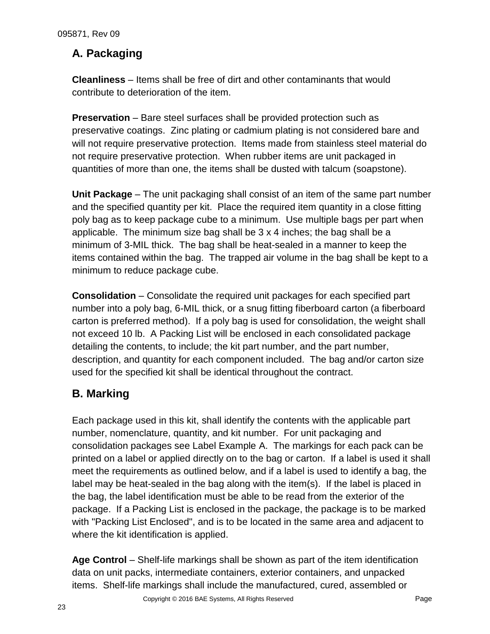## **A. Packaging**

**Cleanliness** – Items shall be free of dirt and other contaminants that would contribute to deterioration of the item.

**Preservation** – Bare steel surfaces shall be provided protection such as preservative coatings. Zinc plating or cadmium plating is not considered bare and will not require preservative protection. Items made from stainless steel material do not require preservative protection. When rubber items are unit packaged in quantities of more than one, the items shall be dusted with talcum (soapstone).

**Unit Package** – The unit packaging shall consist of an item of the same part number and the specified quantity per kit. Place the required item quantity in a close fitting poly bag as to keep package cube to a minimum. Use multiple bags per part when applicable. The minimum size bag shall be 3 x 4 inches; the bag shall be a minimum of 3-MIL thick. The bag shall be heat-sealed in a manner to keep the items contained within the bag. The trapped air volume in the bag shall be kept to a minimum to reduce package cube.

**Consolidation** – Consolidate the required unit packages for each specified part number into a poly bag, 6-MIL thick, or a snug fitting fiberboard carton (a fiberboard carton is preferred method). If a poly bag is used for consolidation, the weight shall not exceed 10 lb. A Packing List will be enclosed in each consolidated package detailing the contents, to include; the kit part number, and the part number, description, and quantity for each component included. The bag and/or carton size used for the specified kit shall be identical throughout the contract.

# <span id="page-22-0"></span>**B. Marking**

Each package used in this kit, shall identify the contents with the applicable part number, nomenclature, quantity, and kit number. For unit packaging and consolidation packages see Label Example A. The markings for each pack can be printed on a label or applied directly on to the bag or carton. If a label is used it shall meet the requirements as outlined below, and if a label is used to identify a bag, the label may be heat-sealed in the bag along with the item(s). If the label is placed in the bag, the label identification must be able to be read from the exterior of the package. If a Packing List is enclosed in the package, the package is to be marked with "Packing List Enclosed", and is to be located in the same area and adjacent to where the kit identification is applied.

**Age Control** – Shelf-life markings shall be shown as part of the item identification data on unit packs, intermediate containers, exterior containers, and unpacked items. Shelf-life markings shall include the manufactured, cured, assembled or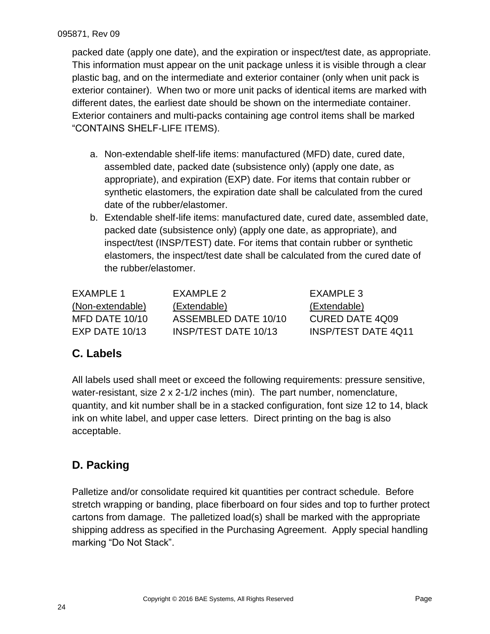packed date (apply one date), and the expiration or inspect/test date, as appropriate. This information must appear on the unit package unless it is visible through a clear plastic bag, and on the intermediate and exterior container (only when unit pack is exterior container). When two or more unit packs of identical items are marked with different dates, the earliest date should be shown on the intermediate container. Exterior containers and multi-packs containing age control items shall be marked "CONTAINS SHELF-LIFE ITEMS).

- a. Non-extendable shelf-life items: manufactured (MFD) date, cured date, assembled date, packed date (subsistence only) (apply one date, as appropriate), and expiration (EXP) date. For items that contain rubber or synthetic elastomers, the expiration date shall be calculated from the cured date of the rubber/elastomer.
- b. Extendable shelf-life items: manufactured date, cured date, assembled date, packed date (subsistence only) (apply one date, as appropriate), and inspect/test (INSP/TEST) date. For items that contain rubber or synthetic elastomers, the inspect/test date shall be calculated from the cured date of the rubber/elastomer.

| FXAMPLE 1        | FXAMPLE 2            | EXAMPLE 3                  |
|------------------|----------------------|----------------------------|
| (Non-extendable) | (Extendable)         | (Extendable)               |
| MFD DATE 10/10   | ASSEMBLED DATE 10/10 | CURED DATE 4Q09            |
| $EXP$ DATE 10/13 | INSP/TEST DATE 10/13 | <b>INSP/TEST DATE 4Q11</b> |

# <span id="page-23-0"></span>**C. Labels**

All labels used shall meet or exceed the following requirements: pressure sensitive, water-resistant, size 2 x 2-1/2 inches (min). The part number, nomenclature, quantity, and kit number shall be in a stacked configuration, font size 12 to 14, black ink on white label, and upper case letters. Direct printing on the bag is also acceptable.

# <span id="page-23-1"></span>**D. Packing**

Palletize and/or consolidate required kit quantities per contract schedule. Before stretch wrapping or banding, place fiberboard on four sides and top to further protect cartons from damage. The palletized load(s) shall be marked with the appropriate shipping address as specified in the Purchasing Agreement. Apply special handling marking "Do Not Stack".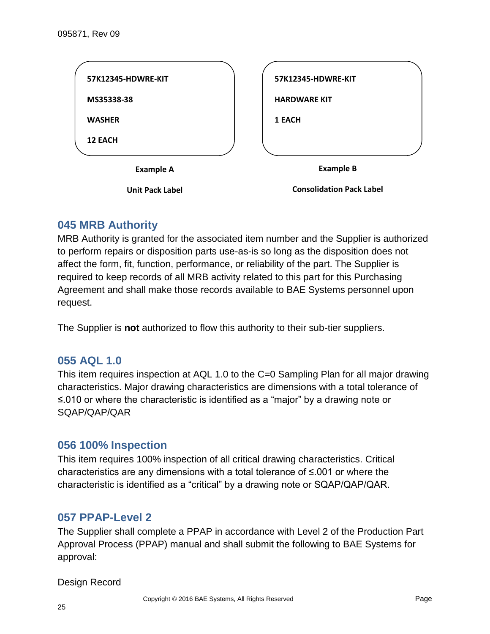

#### <span id="page-24-0"></span>**045 MRB Authority**

MRB Authority is granted for the associated item number and the Supplier is authorized to perform repairs or disposition parts use-as-is so long as the disposition does not affect the form, fit, function, performance, or reliability of the part. The Supplier is required to keep records of all MRB activity related to this part for this Purchasing Agreement and shall make those records available to BAE Systems personnel upon request.

<span id="page-24-1"></span>The Supplier is **not** authorized to flow this authority to their sub-tier suppliers.

#### **055 AQL 1.0**

This item requires inspection at AQL 1.0 to the C=0 Sampling Plan for all major drawing characteristics. Major drawing characteristics are dimensions with a total tolerance of ≤.010 or where the characteristic is identified as a "major" by a drawing note or SQAP/QAP/QAR

#### <span id="page-24-2"></span>**056 100% Inspection**

This item requires 100% inspection of all critical drawing characteristics. Critical characteristics are any dimensions with a total tolerance of ≤.001 or where the characteristic is identified as a "critical" by a drawing note or SQAP/QAP/QAR.

#### <span id="page-24-3"></span>**057 PPAP-Level 2**

The Supplier shall complete a PPAP in accordance with Level 2 of the Production Part Approval Process (PPAP) manual and shall submit the following to BAE Systems for approval:

Design Record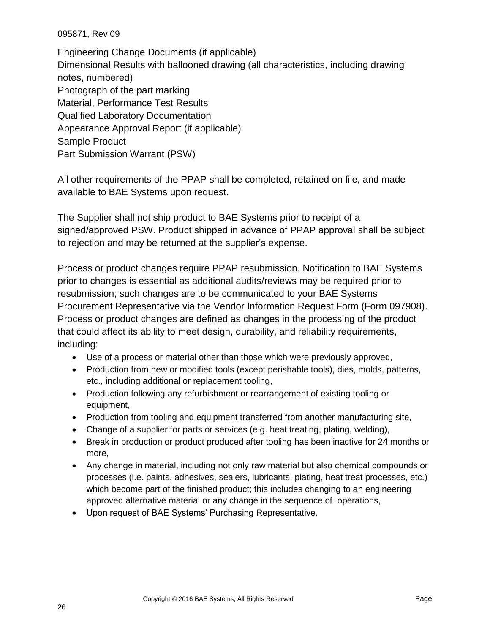Engineering Change Documents (if applicable) Dimensional Results with ballooned drawing (all characteristics, including drawing notes, numbered) Photograph of the part marking Material, Performance Test Results Qualified Laboratory Documentation Appearance Approval Report (if applicable) Sample Product Part Submission Warrant (PSW)

All other requirements of the PPAP shall be completed, retained on file, and made available to BAE Systems upon request.

The Supplier shall not ship product to BAE Systems prior to receipt of a signed/approved PSW. Product shipped in advance of PPAP approval shall be subject to rejection and may be returned at the supplier's expense.

Process or product changes require PPAP resubmission. Notification to BAE Systems prior to changes is essential as additional audits/reviews may be required prior to resubmission; such changes are to be communicated to your BAE Systems Procurement Representative via the Vendor Information Request Form (Form 097908). Process or product changes are defined as changes in the processing of the product that could affect its ability to meet design, durability, and reliability requirements, including:

- Use of a process or material other than those which were previously approved,
- Production from new or modified tools (except perishable tools), dies, molds, patterns, etc., including additional or replacement tooling,
- Production following any refurbishment or rearrangement of existing tooling or equipment,
- Production from tooling and equipment transferred from another manufacturing site,
- Change of a supplier for parts or services (e.g. heat treating, plating, welding),
- Break in production or product produced after tooling has been inactive for 24 months or more,
- Any change in material, including not only raw material but also chemical compounds or processes (i.e. paints, adhesives, sealers, lubricants, plating, heat treat processes, etc.) which become part of the finished product; this includes changing to an engineering approved alternative material or any change in the sequence of operations,
- <span id="page-25-0"></span>Upon request of BAE Systems' Purchasing Representative.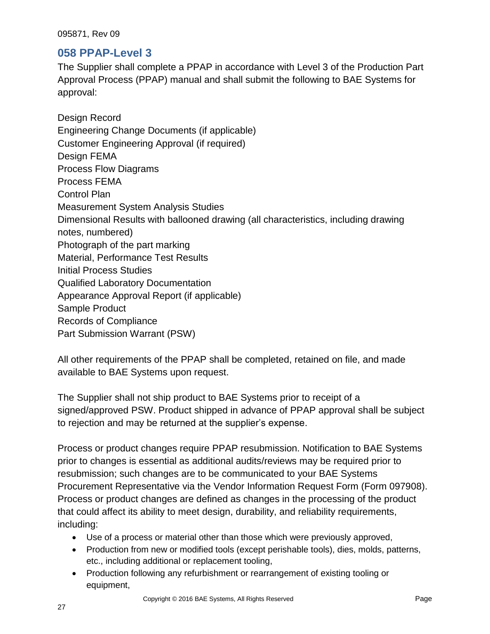#### **058 PPAP-Level 3**

The Supplier shall complete a PPAP in accordance with Level 3 of the Production Part Approval Process (PPAP) manual and shall submit the following to BAE Systems for approval:

Design Record Engineering Change Documents (if applicable) Customer Engineering Approval (if required) Design FEMA Process Flow Diagrams Process FEMA Control Plan Measurement System Analysis Studies Dimensional Results with ballooned drawing (all characteristics, including drawing notes, numbered) Photograph of the part marking Material, Performance Test Results Initial Process Studies Qualified Laboratory Documentation Appearance Approval Report (if applicable) Sample Product Records of Compliance Part Submission Warrant (PSW)

All other requirements of the PPAP shall be completed, retained on file, and made available to BAE Systems upon request.

The Supplier shall not ship product to BAE Systems prior to receipt of a signed/approved PSW. Product shipped in advance of PPAP approval shall be subject to rejection and may be returned at the supplier's expense.

Process or product changes require PPAP resubmission. Notification to BAE Systems prior to changes is essential as additional audits/reviews may be required prior to resubmission; such changes are to be communicated to your BAE Systems Procurement Representative via the Vendor Information Request Form (Form 097908). Process or product changes are defined as changes in the processing of the product that could affect its ability to meet design, durability, and reliability requirements, including:

- Use of a process or material other than those which were previously approved,
- Production from new or modified tools (except perishable tools), dies, molds, patterns, etc., including additional or replacement tooling,
- Production following any refurbishment or rearrangement of existing tooling or equipment,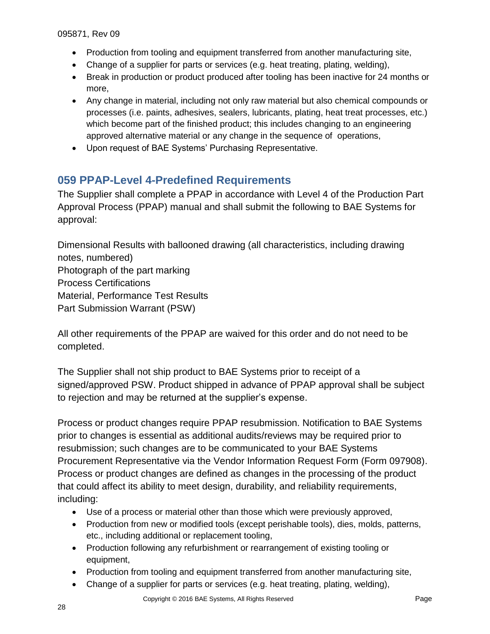- Production from tooling and equipment transferred from another manufacturing site,
- Change of a supplier for parts or services (e.g. heat treating, plating, welding),
- Break in production or product produced after tooling has been inactive for 24 months or more,
- Any change in material, including not only raw material but also chemical compounds or processes (i.e. paints, adhesives, sealers, lubricants, plating, heat treat processes, etc.) which become part of the finished product; this includes changing to an engineering approved alternative material or any change in the sequence of operations,
- Upon request of BAE Systems' Purchasing Representative.

### <span id="page-27-0"></span>**059 PPAP-Level 4-Predefined Requirements**

The Supplier shall complete a PPAP in accordance with Level 4 of the Production Part Approval Process (PPAP) manual and shall submit the following to BAE Systems for approval:

Dimensional Results with ballooned drawing (all characteristics, including drawing notes, numbered) Photograph of the part marking Process Certifications Material, Performance Test Results Part Submission Warrant (PSW)

All other requirements of the PPAP are waived for this order and do not need to be completed.

The Supplier shall not ship product to BAE Systems prior to receipt of a signed/approved PSW. Product shipped in advance of PPAP approval shall be subject to rejection and may be returned at the supplier's expense.

Process or product changes require PPAP resubmission. Notification to BAE Systems prior to changes is essential as additional audits/reviews may be required prior to resubmission; such changes are to be communicated to your BAE Systems Procurement Representative via the Vendor Information Request Form (Form 097908). Process or product changes are defined as changes in the processing of the product that could affect its ability to meet design, durability, and reliability requirements, including:

- Use of a process or material other than those which were previously approved,
- Production from new or modified tools (except perishable tools), dies, molds, patterns, etc., including additional or replacement tooling,
- Production following any refurbishment or rearrangement of existing tooling or equipment,
- Production from tooling and equipment transferred from another manufacturing site,
- Change of a supplier for parts or services (e.g. heat treating, plating, welding),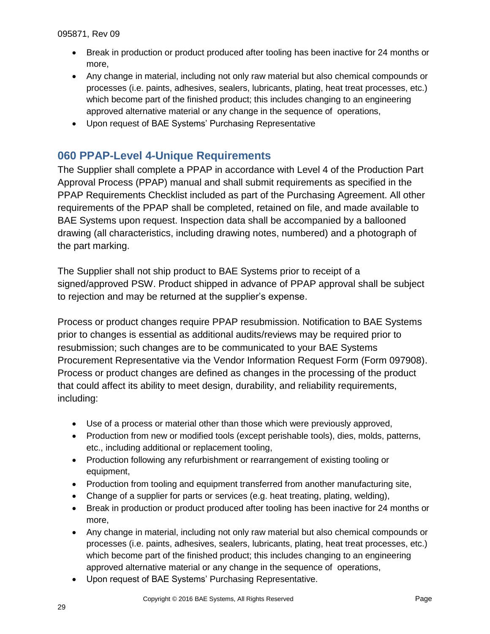- Break in production or product produced after tooling has been inactive for 24 months or more,
- Any change in material, including not only raw material but also chemical compounds or processes (i.e. paints, adhesives, sealers, lubricants, plating, heat treat processes, etc.) which become part of the finished product; this includes changing to an engineering approved alternative material or any change in the sequence of operations,
- Upon request of BAE Systems' Purchasing Representative

### <span id="page-28-0"></span>**060 PPAP-Level 4-Unique Requirements**

The Supplier shall complete a PPAP in accordance with Level 4 of the Production Part Approval Process (PPAP) manual and shall submit requirements as specified in the PPAP Requirements Checklist included as part of the Purchasing Agreement. All other requirements of the PPAP shall be completed, retained on file, and made available to BAE Systems upon request. Inspection data shall be accompanied by a ballooned drawing (all characteristics, including drawing notes, numbered) and a photograph of the part marking.

The Supplier shall not ship product to BAE Systems prior to receipt of a signed/approved PSW. Product shipped in advance of PPAP approval shall be subject to rejection and may be returned at the supplier's expense.

Process or product changes require PPAP resubmission. Notification to BAE Systems prior to changes is essential as additional audits/reviews may be required prior to resubmission; such changes are to be communicated to your BAE Systems Procurement Representative via the Vendor Information Request Form (Form 097908). Process or product changes are defined as changes in the processing of the product that could affect its ability to meet design, durability, and reliability requirements, including:

- Use of a process or material other than those which were previously approved,
- Production from new or modified tools (except perishable tools), dies, molds, patterns, etc., including additional or replacement tooling,
- Production following any refurbishment or rearrangement of existing tooling or equipment,
- Production from tooling and equipment transferred from another manufacturing site,
- Change of a supplier for parts or services (e.g. heat treating, plating, welding),
- Break in production or product produced after tooling has been inactive for 24 months or more,
- Any change in material, including not only raw material but also chemical compounds or processes (i.e. paints, adhesives, sealers, lubricants, plating, heat treat processes, etc.) which become part of the finished product; this includes changing to an engineering approved alternative material or any change in the sequence of operations,
- Upon request of BAE Systems' Purchasing Representative.